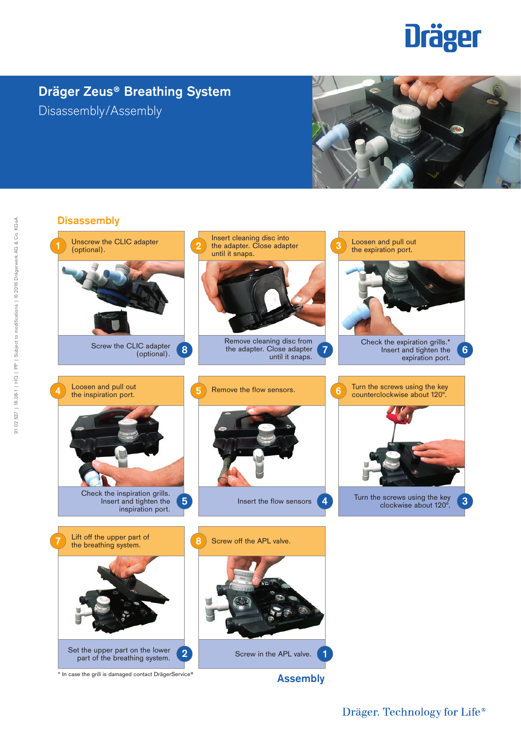# **Dräger**

## **Dräger Zeus® Breathing System** Disassembly/Assembly





Dräger. Technology for Life®